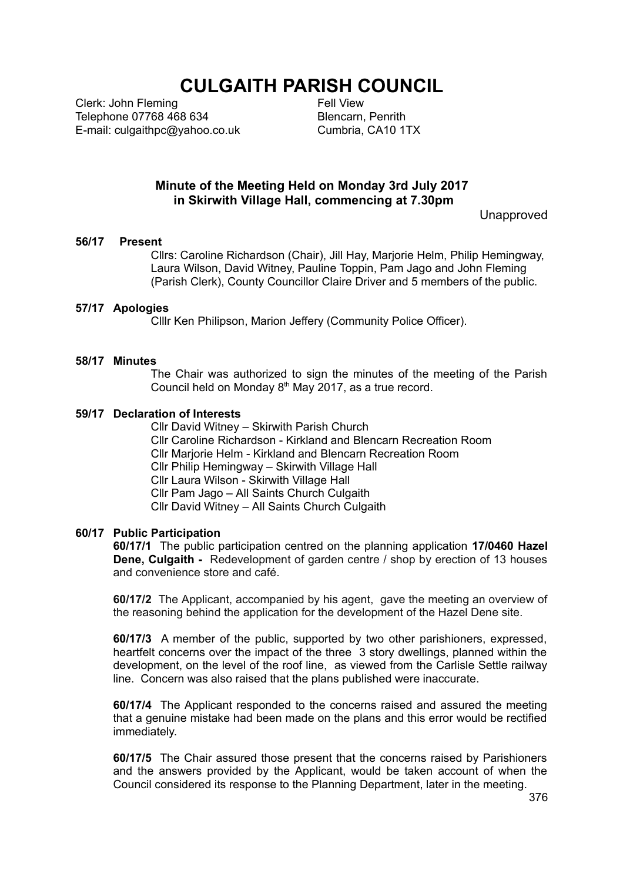# **CULGAITH PARISH COUNCIL**

Clerk: John Fleming Telephone 07768 468 634 E-mail: culgaithpc@yahoo.co.uk Fell View Blencarn, Penrith Cumbria, CA10 1TX

# **Minute of the Meeting Held on Monday 3rd July 2017 in Skirwith Village Hall, commencing at 7.30pm**

**Unapproved** 

#### **56/17 Present**

Cllrs: Caroline Richardson (Chair), Jill Hay, Marjorie Helm, Philip Hemingway, Laura Wilson, David Witney, Pauline Toppin, Pam Jago and John Fleming (Parish Clerk), County Councillor Claire Driver and 5 members of the public.

## **57/17 Apologies**

Clllr Ken Philipson, Marion Jeffery (Community Police Officer).

## **58/17 Minutes**

The Chair was authorized to sign the minutes of the meeting of the Parish Council held on Monday  $8<sup>th</sup>$  May 2017, as a true record.

#### **59/17 Declaration of Interests**

Cllr David Witney – Skirwith Parish Church Cllr Caroline Richardson - Kirkland and Blencarn Recreation Room Cllr Marjorie Helm - Kirkland and Blencarn Recreation Room Cllr Philip Hemingway – Skirwith Village Hall Cllr Laura Wilson - Skirwith Village Hall Cllr Pam Jago – All Saints Church Culgaith Cllr David Witney – All Saints Church Culgaith

#### **60/17 Public Participation**

**60/17/1** The public participation centred on the planning application **17/0460 Hazel Dene, Culgaith -** Redevelopment of garden centre / shop by erection of 13 houses and convenience store and café.

**60/17/2** The Applicant, accompanied by his agent, gave the meeting an overview of the reasoning behind the application for the development of the Hazel Dene site.

**60/17/3** A member of the public, supported by two other parishioners, expressed, heartfelt concerns over the impact of the three 3 story dwellings, planned within the development, on the level of the roof line, as viewed from the Carlisle Settle railway line. Concern was also raised that the plans published were inaccurate.

**60/17/4** The Applicant responded to the concerns raised and assured the meeting that a genuine mistake had been made on the plans and this error would be rectified immediately.

**60/17/5** The Chair assured those present that the concerns raised by Parishioners and the answers provided by the Applicant, would be taken account of when the Council considered its response to the Planning Department, later in the meeting.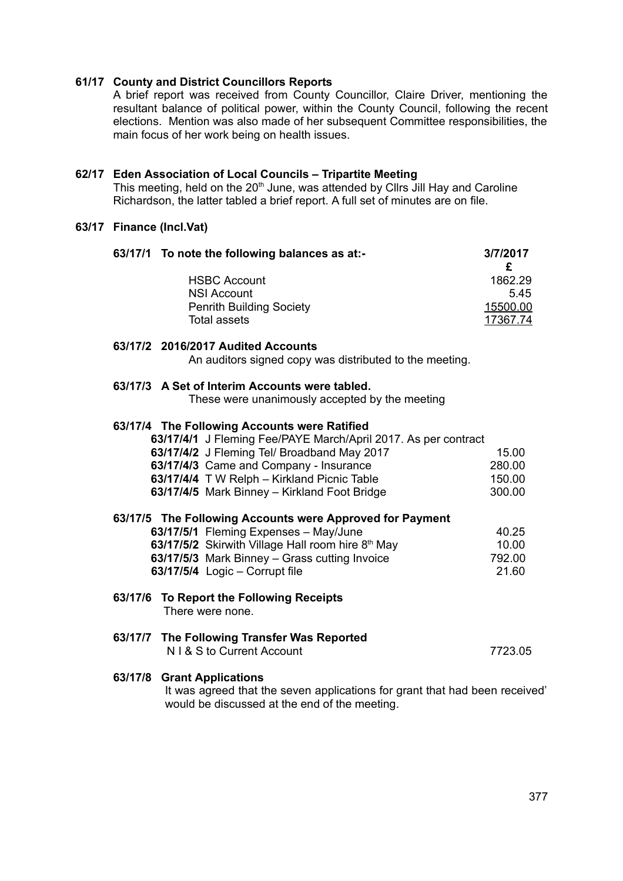# **61/17 County and District Councillors Reports**

A brief report was received from County Councillor, Claire Driver, mentioning the resultant balance of political power, within the County Council, following the recent elections. Mention was also made of her subsequent Committee responsibilities, the main focus of her work being on health issues.

## **62/17 Eden Association of Local Councils – Tripartite Meeting**

This meeting, held on the 20<sup>th</sup> June, was attended by Cllrs Jill Hay and Caroline Richardson, the latter tabled a brief report. A full set of minutes are on file.

# **63/17 Finance (Incl.Vat)**

| 63/17/1 To note the following balances as at:-                                                                                                             | 3/7/2017     |
|------------------------------------------------------------------------------------------------------------------------------------------------------------|--------------|
| <b>HSBC Account</b>                                                                                                                                        | £<br>1862.29 |
| <b>NSI Account</b>                                                                                                                                         | 5.45         |
| <b>Penrith Building Society</b>                                                                                                                            | 15500.00     |
| <b>Total assets</b>                                                                                                                                        | 17367.74     |
| 63/17/2 2016/2017 Audited Accounts<br>An auditors signed copy was distributed to the meeting.                                                              |              |
| 63/17/3 A Set of Interim Accounts were tabled.<br>These were unanimously accepted by the meeting                                                           |              |
| 63/17/4 The Following Accounts were Ratified                                                                                                               |              |
| 63/17/4/1 J Fleming Fee/PAYE March/April 2017. As per contract                                                                                             |              |
| 63/17/4/2 J Fleming Tel/ Broadband May 2017                                                                                                                | 15.00        |
| 63/17/4/3 Came and Company - Insurance                                                                                                                     | 280.00       |
| 63/17/4/4 T W Relph - Kirkland Picnic Table                                                                                                                | 150.00       |
| 63/17/4/5 Mark Binney - Kirkland Foot Bridge                                                                                                               | 300.00       |
| 63/17/5 The Following Accounts were Approved for Payment                                                                                                   |              |
| 63/17/5/1 Fleming Expenses - May/June                                                                                                                      | 40.25        |
| 63/17/5/2 Skirwith Village Hall room hire 8 <sup>th</sup> May                                                                                              | 10.00        |
| 63/17/5/3 Mark Binney - Grass cutting Invoice                                                                                                              | 792.00       |
| 63/17/5/4 Logic - Corrupt file                                                                                                                             | 21.60        |
| 63/17/6<br>To Report the Following Receipts<br>There were none.                                                                                            |              |
| 63/17/7 The Following Transfer Was Reported<br>N   & S to Current Account                                                                                  | 7723.05      |
| 63/17/8 Grant Applications<br>It was agreed that the seven applications for grant that had been received'<br>would be discussed at the end of the meeting. |              |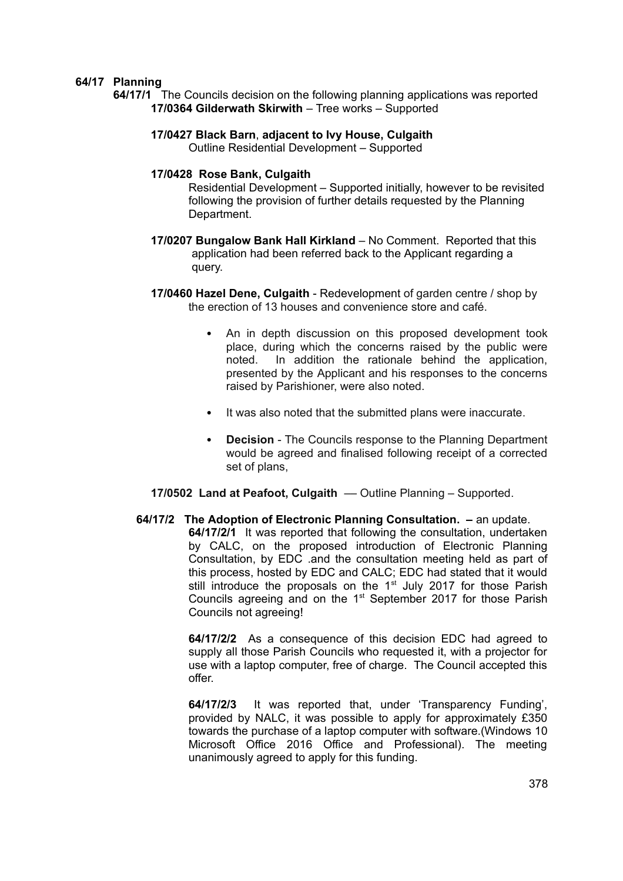# **64/17 Planning**

**64/17/1** The Councils decision on the following planning applications was reported **17/0364 Gilderwath Skirwith** – Tree works – Supported

#### **17/0427 Black Barn**, **adjacent to Ivy House, Culgaith** Outline Residential Development – Supported

#### **17/0428 Rose Bank, Culgaith**

Residential Development – Supported initially, however to be revisited following the provision of further details requested by the Planning Department.

- **17/0207 Bungalow Bank Hall Kirkland** No Comment. Reported that this application had been referred back to the Applicant regarding a query.
- **17/0460 Hazel Dene, Culgaith**  Redevelopment of garden centre / shop by the erection of 13 houses and convenience store and café.
	- ! An in depth discussion on this proposed development took place, during which the concerns raised by the public were noted. In addition the rationale behind the application, presented by the Applicant and his responses to the concerns raised by Parishioner, were also noted.
	- . It was also noted that the submitted plans were inaccurate.
	- **Decision** The Councils response to the Planning Department would be agreed and finalised following receipt of a corrected set of plans,
- **17/0502 Land at Peafoot, Culgaith Outline Planning Supported.**
- **64/17/2 The Adoption of Electronic Planning Consultation.** an update. **64/17/2/1** It was reported that following the consultation, undertaken by CALC, on the proposed introduction of Electronic Planning Consultation, by EDC .and the consultation meeting held as part of this process, hosted by EDC and CALC; EDC had stated that it would still introduce the proposals on the  $1<sup>st</sup>$  July 2017 for those Parish Councils agreeing and on the 1<sup>st</sup> September 2017 for those Parish Councils not agreeing!

**64/17/2/2** As a consequence of this decision EDC had agreed to supply all those Parish Councils who requested it, with a projector for use with a laptop computer, free of charge. The Council accepted this offer.

**64/17/2/3** It was reported that, under 'Transparency Funding', provided by NALC, it was possible to apply for approximately £350 towards the purchase of a laptop computer with software.(Windows 10 Microsoft Office 2016 Office and Professional). The meeting unanimously agreed to apply for this funding.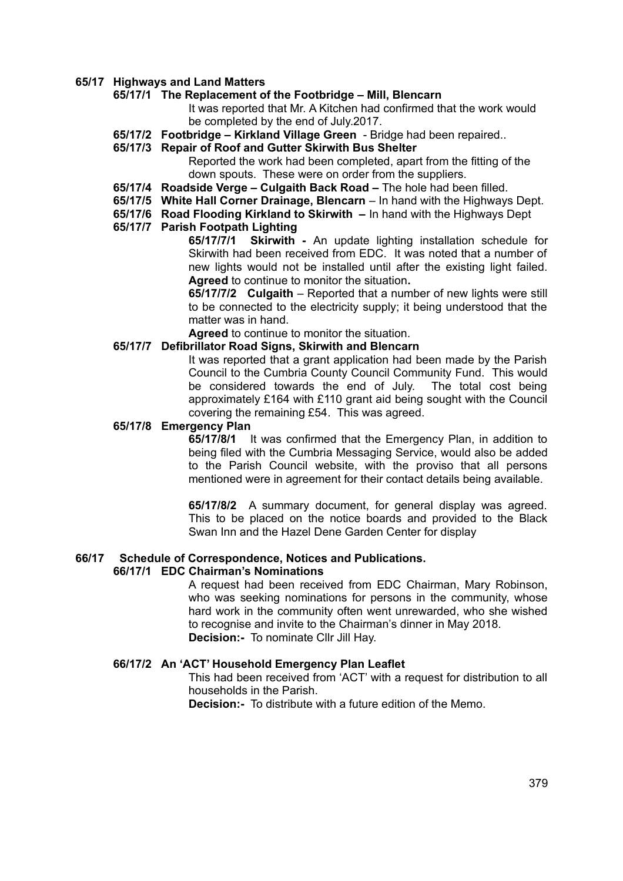#### **65/17 Highways and Land Matters**

# **65/17/1 The Replacement of the Footbridge – Mill, Blencarn**

It was reported that Mr. A Kitchen had confirmed that the work would be completed by the end of July.2017.

**65/17/2 Footbridge – Kirkland Village Green** - Bridge had been repaired..

#### **65/17/3 Repair of Roof and Gutter Skirwith Bus Shelter**

Reported the work had been completed, apart from the fitting of the down spouts. These were on order from the suppliers.

- **65/17/4 Roadside Verge Culgaith Back Road** The hole had been filled.
- **65/17/5 White Hall Corner Drainage, Blencarn**  In hand with the Highways Dept.
- **65/17/6 Road Flooding Kirkland to Skirwith** In hand with the Highways Dept

# **65/17/7 Parish Footpath Lighting**

**65/17/7/1 Skirwith -** An update lighting installation schedule for Skirwith had been received from EDC. It was noted that a number of new lights would not be installed until after the existing light failed. **Agreed** to continue to monitor the situation**.**

**65/17/7/2 Culgaith** – Reported that a number of new lights were still to be connected to the electricity supply; it being understood that the matter was in hand.

**Agreed** to continue to monitor the situation.

#### **65/17/7 Defibrillator Road Signs, Skirwith and Blencarn**

It was reported that a grant application had been made by the Parish Council to the Cumbria County Council Community Fund. This would be considered towards the end of July. The total cost being approximately £164 with £110 grant aid being sought with the Council covering the remaining £54. This was agreed.

#### **65/17/8 Emergency Plan**

**65/17/8/1** It was confirmed that the Emergency Plan, in addition to being filed with the Cumbria Messaging Service, would also be added to the Parish Council website, with the proviso that all persons mentioned were in agreement for their contact details being available.

**65/17/8/2** A summary document, for general display was agreed. This to be placed on the notice boards and provided to the Black Swan Inn and the Hazel Dene Garden Center for display

# **66/17 Schedule of Correspondence, Notices and Publications.**

#### **66/17/1 EDC Chairman's Nominations**

A request had been received from EDC Chairman, Mary Robinson, who was seeking nominations for persons in the community, whose hard work in the community often went unrewarded, who she wished to recognise and invite to the Chairman's dinner in May 2018. **Decision:-** To nominate Cllr Jill Hay.

## **66/17/2 An 'ACT' Household Emergency Plan Leaflet**

This had been received from 'ACT' with a request for distribution to all households in the Parish.

**Decision:-** To distribute with a future edition of the Memo.